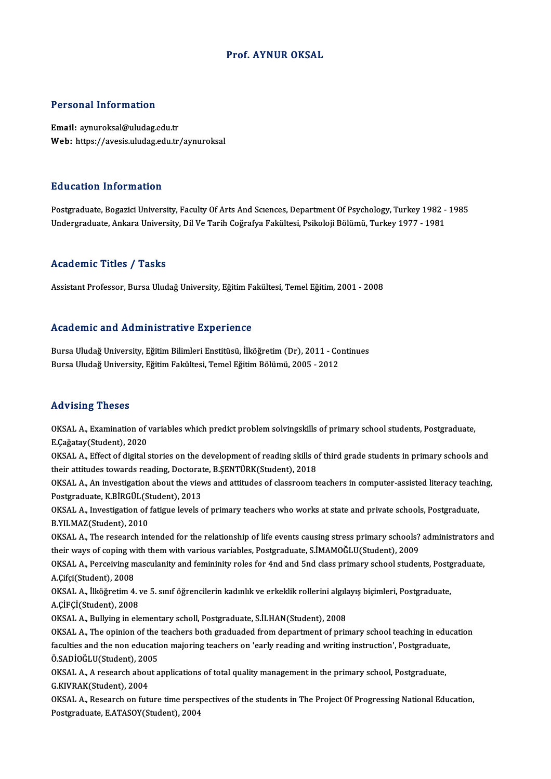#### Prof. AYNUR OKSAL

#### Personal Information

Email: aynuroksal@uludag.edu.tr Web: https://avesis.uludag.edu.tr/aynuroksal

#### Education Information

Education Information<br>Postgraduate, Bogazici University, Faculty Of Arts And Sciences, Department Of Psychology, Turkey 1982 - 1985<br>Undergraduate, Ankara University, Dil Ve Tarih Coğrafya Fakültesi, Beikoloji Bölümü, Turke שמש השמש היהודי היה השפח היהודים בית השמש והיהודים בית השמשים.<br>Postgraduate, Bogazici University, Faculty Of Arts And Scıences, Department Of Psychology, Turkey 1982 -<br>Undergraduate, Ankara University, Dil Ve Tarih Coğraf Undergraduate, Ankara University, Dil Ve Tarih Coğrafya Fakültesi, Psikoloji Bölümü, Turkey 1977 - 1981<br>Academic Titles / Tasks

AssistantProfessor,BursaUludağUniversity,EğitimFakültesi,TemelEğitim,2001 -2008

#### Academic and Administrative Experience

Bursa Uludağ University, Eğitim Bilimleri Enstitüsü, İlköğretim (Dr), 2011 - Continues Bursa Uludağ University, Eğitim Fakültesi, Temel Eğitim Bölümü, 2005 - 2012

#### Advising Theses

Advising Theses<br>OKSAL A., Examination of variables which predict problem solvingskills of primary school students, Postgraduate,<br>E Coğatav(Student), 2020 E.<br>E.Cağatay(Student), 2020<br>E.Cağatay(Student), 2020<br>OKSAL A. Effect of digital OKSAL A., Examination of variables which predict problem solvingskills of primary school students, Postgraduate,<br>E.Çağatay(Student), 2020<br>OKSAL A., Effect of digital stories on the development of reading skills of third gr

E.Çağatay(Student), 2020<br>OKSAL A., Effect of digital stories on the development of reading skills o<br>their attitudes towards reading, Doctorate, B.ŞENTÜRK(Student), 2018<br>OKSAL A. An investigation shout the views and attitud OKSAL A., Effect of digital stories on the development of reading skills of third grade students in primary schools and<br>their attitudes towards reading, Doctorate, B.ŞENTÜRK(Student), 2018<br>OKSAL A., An investigation about

their attitudes towards reading, Doctorat<br>OKSAL A., An investigation about the viev<br>Postgraduate, K.BİRGÜL(Student), 2013<br>OKSAL A. Investigation of fatigue levels c OKSAL A., An investigation about the views and attitudes of classroom teachers in computer-assisted literacy teachi<br>Postgraduate, K.BİRGÜL(Student), 2013<br>OKSAL A., Investigation of fatigue levels of primary teachers who wo

Postgraduate, K.BİRGÜL(St<br>OKSAL A., Investigation of<br>B.YILMAZ(Student), 2010 OKSAL A., Investigation of fatigue levels of primary teachers who works at state and private schools, Postgraduate,<br>B.YILMAZ(Student), 2010<br>OKSAL A., The research intended for the relationship of life events causing stress

B.YILMAZ(Student), 2010<br>OKSAL A., The research intended for the relationship of life events causing stress primary schools?<br>their ways of coping with them with various variables, Postgraduate, S.İMAMOĞLU(Student), 2009<br>QKS OKSAL A., The research intended for the relationship of life events causing stress primary schools? administrators and<br>their ways of coping with them with various variables, Postgraduate, S.İMAMOĞLU(Student), 2009<br>OKSAL A.

their ways of coping w<br>OKSAL A., Perceiving m<br>A.Çifçi(Student), 2008<br>OKSAL A., <sup>Ilkäžrotim 4</sup> OKSAL A., Perceiving masculanity and femininity roles for 4nd and 5nd class primary school students, Postgradu<br>A.Çifçi(Student), 2008<br>OKSAL A., İlköğretim 4. ve 5. sınıf öğrencilerin kadınlık ve erkeklik rollerini algılayı

A.Çifçi(Student), 2008<br>OKSAL A., İlköğretim 4. v<br>A.ÇİFÇİ(Student), 2008<br>OKSAL A., Bullying in ele OKSAL A., İlköğretim 4. ve 5. sınıf öğrencilerin kadınlık ve erkeklik rollerini algıla<br>A.ÇİFÇİ(Student), 2008<br>OKSAL A., Bullying in elementary scholl, Postgraduate, S.İLHAN(Student), 2008<br>OKSAL A., The opinion of the teach

A.ÇİFÇİ(Student), 2008<br>OKSAL A., Bullying in elementary scholl, Postgraduate, S.İLHAN(Student), 2008<br>OKSAL A., The opinion of the teachers both graduaded from department of primary school teaching in education<br>forulties an OKSAL A., Bullying in elementary scholl, Postgraduate, S.İLHAN(Student), 2008<br>OKSAL A., The opinion of the teachers both graduaded from department of primary school teaching in edue<br>faculties and the non education majoring OKSAL A., The opinion of the<br>faculties and the non education<br>Ö.SADİOĞLU(Student), 2005 faculties and the non education majoring teachers on 'early reading and writing instruction', Postgraduate<br>Ö.SADİOĞLU(Student), 2005<br>OKSAL A., A research about applications of total quality management in the primary school

Ö.SADİOĞLU(Student), 200<br>OKSAL A., A research abou<br>G.KIVRAK(Student), 2004<br>OKSAL A. Research an fut OKSAL A., A research about applications of total quality management in the primary school, Postgraduate,<br>G.KIVRAK(Student), 2004<br>OKSAL A., Research on future time perspectives of the students in The Project Of Progressing

G.KIVRAK(Student), 2004<br>OKSAL A., Research on future time perspectives of the students in The Project Of Progressing National Education,<br>Postgraduate, E.ATASOY(Student), 2004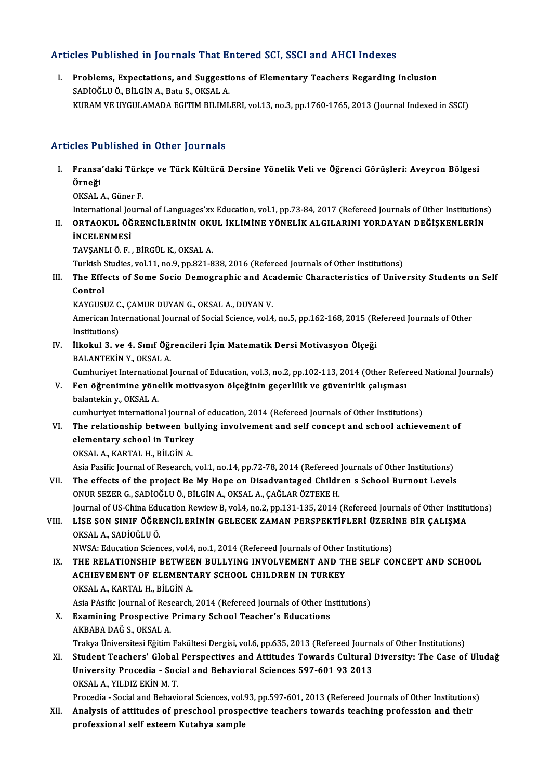### Articles Published in Journals That Entered SCI, SSCI and AHCI Indexes

rticles Published in Journals That Entered SCI, SSCI and AHCI Indexes<br>I. Problems, Expectations, and Suggestions of Elementary Teachers Regarding Inclusion<br>SADIOČLUÖ PUCINA Petu S. OKSALA SADIO T UDHOHOU III JOUTHULO THUC 2.<br>Problems, Expectations, and Suggesti<br>SADİOĞLU Ö., BİLGİN A., Batu S., OKSAL A.<br>KURAM VE UVCULAMADA ECITIM BU IML SADİOĞLU Ö., BİLGİN A., Batu S., OKSAL A.<br>KURAM VE UYGULAMADA EGITIM BILIMLERI, vol.13, no.3, pp.1760-1765, 2013 (Journal Indexed in SSCI)

### Articles Published in Other Journals

rticles Published in Other Journals<br>I. Fransa'daki Türkçe ve Türk Kültürü Dersine Yönelik Veli ve Öğrenci Görüşleri: Aveyron Bölgesi<br>Önneği Stes Tu<br>Fransa<br>Örneği<br>OKSAL

**Örneği**<br>OKSAL A., Güner F.

International Journal of Languages'xx Education, vol.1, pp.73-84, 2017 (Refereed Journals of Other Institutions)

### OKSAL A., Güner F.<br>International Journal of Languages'xx Education, vol.1, pp.73-84, 2017 (Refereed Journals of Other Institutions<br>II. ORTAOKUL ÖĞRENCİLERİNİN OKUL İKLİMİNE YÖNELİK ALGILARINI YORDAYAN DEĞİŞKENLERİN<br>İNC International Jo<mark>l</mark><br>ORTAOKUL ÖĞ<br>İNCELENMESİ<br>TAVSANLLÖ E ORTAOKUL ÖĞRENCİLERİNİN OKI<br>İNCELENMESİ<br>TAVŞANLI Ö. F. , BİRGÜL K., OKSAL A.<br>Turkich Studies vol 11 no 9 nn 921 9

**İNCELENMESİ**<br>TAVŞANLI Ö. F. , BİRGÜL K., OKSAL A.<br>Turkish Studies, vol.11, no.9, pp.821-838, 2016 (Refereed Journals of Other Institutions)

TAVŞANLI Ö. F. , BİRGÜL K., OKSAL A.<br>Turkish Studies, vol.11, no.9, pp.821-838, 2016 (Refereed Journals of Other Institutions)<br>III. The Effects of Some Socio Demographic and Academic Characteristics of University Stude Turkish<br>The Effe<br>Control<br>KAVCUSI The Effects of Some Socio Demographic and Aca<br>Control<br>KAYGUSUZ C., ÇAMUR DUYAN G., OKSAL A., DUYAN V.<br>American International Journal of Social Science, yol 4

Control<br>KAYGUSUZ C., ÇAMUR DUYAN G., OKSAL A., DUYAN V.<br>American International Journal of Social Science, vol.4, no.5, pp.162-168, 2015 (Refereed Journals of Other<br>Institutions) KAYGUSUZ C<br>American Int<br>Institutions)<br>Urekul 3, v American International Journal of Social Science, vol.4, no.5, pp.162-168, 2015 (Representatively)<br>IV. İlkokul 3. ve 4. Sınıf Öğrencileri İçin Matematik Dersi Motivasyon Ölçeği<br>PALANTEVIN V. OVSAL A

Institutions)<br>IV. İlkokul 3. ve 4. Sınıf Öğrencileri İçin Matematik Dersi Motivasyon Ölçeği<br>BALANTEKİN Y., OKSAL A.

Cumhuriyet International Journal of Education, vol.3, no.2, pp.102-113, 2014 (Other Refereed National Journals)

### BALANTEKİN Y., OKSAL A.<br>Cumhuriyet International Journal of Education, vol.3, no.2, pp.102-113, 2014 (Other Refer<br>V. Fen öğrenimine yönelik motivasyon ölçeğinin geçerlilik ve güvenirlik çalışması<br>halantelin v. OKSAL A. Cumhuriyet Internation<br>Fen öğrenimine yöne<br>balantekin y., OKSAL A. Fen öğrenimine yönelik motivasyon ölçeğinin geçerlilik ve güvenirlik çalışması<br>balantekin y., OKSAL A.<br>cumhuriyet international journal of education, 2014 (Refereed Journals of Other Institutions)<br>The relationship between

### balantekin y., OKSAL A.<br>cumhuriyet international journal of education, 2014 (Refereed Journals of Other Institutions)<br>VI. The relationship between bullying involvement and self concept and school achievement of cumhuriyet international journal<br>The relationship between bul<br>elementary school in Turkey<br>OKSAL A KARTAL H PUCINA The relationship between bu<br>elementary school in Turkey<br>OKSAL A., KARTAL H., BİLGİN A.<br>Asia Basifis Jeurnal of Bessarsh

OKSAL A., KARTAL H., BİLGİN A.<br>Asia Pasific Journal of Research, vol.1, no.14, pp.72-78, 2014 (Refereed Journals of Other Institutions)

### OKSAL A., KARTAL H., BİLGİN A.<br>Asia Pasific Journal of Research, vol.1, no.14, pp.72-78, 2014 (Refereed Journals of Other Institutions)<br>VII. The effects of the project Be My Hope on Disadvantaged Children s School Burnout Asia Pasific Journal of Research, vol.1, no.14, pp.72-78, 2014 (Refereed<br>The effects of the project Be My Hope on Disadvantaged Childr<br>ONUR SEZER G., SADİOĞLU Ö., BİLGİN A., OKSAL A., ÇAĞLAR ÖZTEKE H.<br>Journal of US China E ONUR SEZER G., SADİOĞLU Ö., BİLGİN A., OKSAL A., ÇAĞLAR ÖZTEKE H.<br>Journal of US-China Education Rewiew B, vol.4, no.2, pp.131-135, 2014 (Refereed Journals of Other Institutions) ONUR SEZER G., SADİOĞLU Ö., BİLGİN A., OKSAL A., ÇAĞLAR ÖZTEKE H.<br>Journal of US-China Education Rewiew B, vol.4, no.2, pp.131-135, 2014 (Refereed Journals of Other Institu<br>VIII. LİSE SON SINIF ÖĞRENCİLERİNİN GELECEK ZA

### Journal of US-China Edu<br>LİSE SON SINIF ÖĞRE<br>OKSAL A., SADİOĞLU Ö.<br>NWSA: Education Scion LİSE SON SINIF ÖĞRENCİLERİNİN GELECEK ZAMAN PERSPEKTİFLERİ ÜZERİ<br>OKSAL A., SADİOĞLU Ö.<br>NWSA: Education Sciences, vol.4, no.1, 2014 (Refereed Journals of Other Institutions)<br>THE RELATIONSHIR RETWEEN RIILLYNC INVOLVEMENT AND

- OKSAL A., SADİOĞLU Ö.<br>IX. THE RELATIONSHIP BETWEEN BULLYING INVOLVEMENT AND THE SELF CONCEPT AND SCHOOL<br>ACHIEVEMENT OF ELEMENTARY SCHOOL CHILDREN IN TURKEY NWSA: Education Sciences, vol.4, no.1, 2014 (Refereed Journals of Other 1<br>THE RELATIONSHIP BETWEEN BULLYING INVOLVEMENT AND TH<br>ACHIEVEMENT OF ELEMENTARY SCHOOL CHILDREN IN TURKEY<br>OVSAL A -KAPTAL H- PU CIN A THE RELATIONSHIP BETWEE<br>ACHIEVEMENT OF ELEMENT<br>OKSAL A., KARTAL H., BİLGİN A. ACHIEVEMENT OF ELEMENTARY SCHOOL CHILDREN IN TURKEY<br>OKSAL A., KARTAL H., BİLGİN A.<br>Asia PAsific Journal of Research, 2014 (Refereed Journals of Other Institutions)<br>Evamining Praspeative Primary Sabaal Teaghar's Educations OKSAL A., KARTAL H., BİLGİN A.<br>Asia PAsific Journal of Research, 2014 (Refereed Journals of Other In<br>X. Examining Prospective Primary School Teacher's Educations<br>AKBARA DAČ S. OKSAL A
- Asia PAsific Journal of Rese<br>**Examining Prospective**<br>AKBABA DAĞ S., OKSAL A.<br>Trakva Üniversitesi Eğitim Examining Prospective Primary School Teacher's Educations<br>AKBABA DAĞ S., OKSAL A.<br>Trakya Üniversitesi Eğitim Fakültesi Dergisi, vol.6, pp.635, 2013 (Refereed Journals of Other Institutions)<br>Student Teachers' Clabal Perspec AKBABA DAĞ S., OKSAL A.<br>Trakya Üniversitesi Eğitim Fakültesi Dergisi, vol.6, pp.635, 2013 (Refereed Journals of Other Institutions)<br>XI. Student Teachers' Global Perspectives and Attitudes Towards Cultural Diversity: Th
- Trakya Üniversitesi Eğitim Fakültesi Dergisi, vol.6, pp.635, 2013 (Refereed Journa<br>Student Teachers' Global Perspectives and Attitudes Towards Cultural<br>University Procedia Social and Behavioral Sciences 597-601 93 2013<br>O University Procedia - Social and Behavioral Sciences 597-601 93 2013<br>OKSAL A., YILDIZ EKİNM.T. University Procedia - Social and Behavioral Sciences 597-601 93 2013<br>OKSAL A., YILDIZ EKİN M. T.<br>Procedia - Social and Behavioral Sciences, vol.93, pp.597-601, 2013 (Refereed Journals of Other Institutions)<br>Analysis of att

OKSAL A., YILDIZ EKİN M. T.<br>Procedia - Social and Behavioral Sciences, vol.93, pp.597-601, 2013 (Refereed Journals of Other Institutions<br>XII. Analysis of attitudes of preschool prospective teachers towards teaching profess Procedia - Social and Behavioral Sciences, vol.<br>Analysis of attitudes of preschool prosp<br>professional self esteem Kutahya sample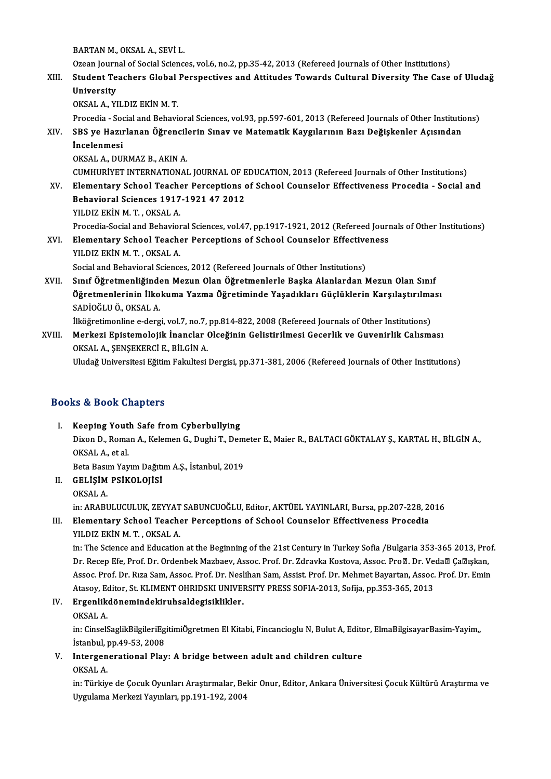BARTAN M., OKSAL A., SEVİ L.

Ozean Journal of Social Sciences, vol.6, no.2, pp.35-42, 2013 (Refereed Journals of Other Institutions)

BARTAN M., OKSAL A., SEVİ L.<br>Ozean Journal of Social Sciences, vol.6, no.2, pp.35-42, 2013 (Refereed Journals of Other Institutions)<br>XIII. Student Teachers Global Perspectives and Attitudes Towards Cultural Diversity T Ozean Journ<br>Student Te<br>University<br>O<sup>VSALA VI</sub></sup> Student Teachers Global<br>University<br>OKSAL A., YILDIZ EKİN M. T.<br>Prosodia...Sosial and Bohavi University<br>OKSAL A., YILDIZ EKİN M. T.<br>Procedia - Social and Behavioral Sciences, vol.93, pp.597-601, 2013 (Refereed Journals of Other Institutions)

OKSAL A., YILDIZ EKİN M. T.<br>Procedia - Social and Behavioral Sciences, vol.93, pp.597-601, 2013 (Refereed Journals of Other Institution<br>XIV. SBS ye Hazırlanan Öğrencilerin Sınav ve Matematik Kaygılarının Bazı Değişkenl Procedia - Soo<br>SBS ye Hazır<br>İncelenmesi<br>OKSAL A DIII SBS ye Hazırlanan Öğrencil<br>İncelenmesi<br>OKSAL A., DURMAZ B., AKIN A.<br>CUMHURİVET INTERNATIONAL İncelenmesi<br>OKSAL A., DURMAZ B., AKIN A.<br>CUMHURİYET INTERNATIONAL JOURNAL OF EDUCATION, 2013 (Refereed Journals of Other Institutions)<br>Flamentary School Teacher Persentions of School Counselor Effectiveness Prosedia - Sosi

- OKSAL A., DURMAZ B., AKIN A.<br>CUMHURIYET INTERNATIONAL JOURNAL OF EDUCATION, 2013 (Refereed Journals of Other Institutions)<br>XV. Elementary School Teacher Perceptions of School Counselor Effectiveness Procedia Social and<br>R CUMHURİYET INTERNATIONAL JOURNAL OF E<br>Elementary School Teacher Perceptions<br>Behavioral Sciences 1917-1921 47 2012<br>VU DIZ EVİN M.T. OKSAL A Elementary School Teache<br>Behavioral Sciences 1917<br>YILDIZ EKİN M.T., OKSAL A.<br>Presedia Sesial and Behavior Behavioral Sciences 1917-1921 47 2012<br>YILDIZ EKİN M. T. , OKSAL A.<br>Procedia-Social and Behavioral Sciences, vol.47, pp.1917-1921, 2012 (Refereed Journals of Other Institutions)<br>Elementary School Teacher Bersentions of Scho YILDIZ EKİN M. T. , OKSAL A.<br>Procedia-Social and Behavioral Sciences, vol.47, pp.1917-1921, 2012 (Refereed Journ<br>XVI. Elementary School Teacher Perceptions of School Counselor Effectiveness<br>XVI. Elementary School Teacher P
- Procedia-Social and Behavior<br>Elementary School Teach<br>YILDIZ EKİN M.T. , OKSAL A.<br>Social and Behavioral Science Elementary School Teacher Perceptions of School Counselor Effectiveness<br>YILDIZ EKİN M. T. , OKSAL A.<br>Social and Behavioral Sciences, 2012 (Refereed Journals of Other Institutions)
- XVII. Sınıf Öğretmenliğinden Mezun Olan Öğretmenlerle Başka Alanlardan Mezun Olan Sınıf Social and Behavioral Sciences, 2012 (Refereed Journals of Other Institutions)<br>Sınıf Öğretmenliğinden Mezun Olan Öğretmenlerle Başka Alanlardan Mezun Olan Sınıf<br>Öğretmenlerinin İlkokuma Yazma Öğretiminde Yaşadıkları Güçlük Sınıf Öğretmenliğinde<br>Öğretmenlerinin İlko<br>SADİOĞLU Ö., OKSAL A.<br>İlköğretimenline e dera Öğretmenlerinin İlkokuma Yazma Öğretiminde Yaşadıkları Güçlüklerin Karşılaştırılma<br>SADİOĞLU Ö., OKSAL A.<br>İlköğretimonline e-dergi, vol.7, no.7, pp.814-822, 2008 (Refereed Journals of Other Institutions)<br>Markari Enistemelej

İlköğretimonline e-dergi, vol.7, no.7, pp.814-822, 2008 (Refereed Journals of Other Institutions)

SADİOĞLU Ö., OKSAL A.<br>İlköğretimonline e-dergi, vol.7, no.7, pp.814-822, 2008 (Refereed Journals of Other Institutions)<br>XVIII. Merkezi Epistemolojik İnanclar Olceğinin Gelistirilmesi Gecerlik ve Guvenirlik Calısması<br>OKSAL

Uludağ Universitesi Eğitim Fakultesi Dergisi, pp.371-381, 2006 (Refereed Journals of Other Institutions)

### Books&Book Chapters

- I. Keeping Youth Safe from Cyberbullying ID & DOON Onaptoru<br>Keeping Youth Safe from Cyberbullying<br>Dixon D., Roman A., Kelemen G., Dughi T., Demeter E., Maier R., BALTACI GÖKTALAY Ş., KARTAL H., BİLGİN A., OKSAL A., et al.<br>Beta Basım Yayım Dağıtım A.Ş., İstanbul, 2019 Dixon D., Roman A., Kelemen G., Dughi T., Dem<br>OKSAL A., et al.<br>Beta Basım Yayım Dağıtım A.Ş., İstanbul, 2019<br>GELİSİM BSİKOLOJİSİ OKSAL A., et al.<br>Beta Basım Yayım Dağıtı<br>II. GELİŞİM PSİKOLOJİSİ<br>OKSAL A
- Beta Bası<br>GELİŞİM<br>OKSAL A.<br>in: ABABI GELİŞİM PSİKOLOJİSİ<br>OKSAL A.<br>in: ARABULUCULUK, ZEYYAT SABUNCUOĞLU, Editor, AKTÜEL YAYINLARI, Bursa, pp.207-228, 2016<br>Elamantary, Sabasl Tasabar Parsantiana of Sabasl Caunaslar Effectivaneas Prasadia OKSAL A.<br>In: ARABULUCULUK, ZEYYAT SABUNCUOĞLU, Editor, AKTÜEL YAYINLARI, Bursa, pp.207-228, 2<br>III. Elementary School Teacher Perceptions of School Counselor Effectiveness Procedia<br>VILDIZ EVIN M.T. OKSAL A

### in: ARABULUCULUK, ZEYYAT<br>Elementary School Teach<br>YILDIZ EKİN M. T. , OKSAL A.<br>in: The Science and Education III. Elementary School Teacher Perceptions of School Counselor Effectiveness Procedia<br>YILDIZ EKİN M. T. , OKSAL A.<br>in: The Science and Education at the Beginning of the 21st Century in Turkey Sofia /Bulgaria 353-365 2013,

YILDIZ EKİN M. T. , OKSAL A.<br>in: The Science and Education at the Beginning of the 21st Century in Turkey Sofia /Bulgaria 353-365 2013, Pro<br>Dr. Recep Efe, Prof. Dr. Ordenbek Mazbaev, Assoc. Prof. Dr. Zdravka Kostova, Assoc in: The Science and Education at the Beginning of the 21st Century in Turkey Sofia /Bulgaria 353-365 2013, Prof<br>Dr. Recep Efe, Prof. Dr. Ordenbek Mazbaev, Assoc. Prof. Dr. Zdravka Kostova, Assoc. Proø. Dr. Veda® Ça®ışkan,<br> Dr. Recep Efe, Prof. Dr. Ordenbek Mazbaev, Assoc. Prof. Dr. Zdravka Kostova, Assoc. Pro⊠. Dr. Ve<br>Assoc. Prof. Dr. Rıza Sam, Assoc. Prof. Dr. Neslihan Sam, Assist. Prof. Dr. Mehmet Bayartan, Assoc.<br>Atasoy, Editor, St. KLIME Assoc. Prof. Dr. Rıza Sam, Assoc. Prof. Dr. Nesl<br>Atasoy, Editor, St. KLIMENT OHRIDSKI UNIVEI<br>IV. Ergenlikdönemindekiruhsaldegisiklikler. Atasoy, Eq<br>Ergenlik<br>OKSAL A.<br>in: Cincel<sup>g</sup>

Ergenlikdönemindekiruhsaldegisiklikler.<br>OKSAL A.<br>in: CinselSaglikBilgileriEgitimiÖgretmen El Kitabi, Fincancioglu N, Bulut A, Editor, ElmaBilgisayarBasim-Yayim, OKSAL A.<br>in: CinselSaglikBilgileriEg<br>İstanbul, pp.49-53, 2008<br>Intersenerational Pley in: CinselSaglikBilgileriEgitimiÖgretmen El Kitabi, Fincancioglu N, Bulut A, Edito<br>Istanbul, pp.49-53, 2008<br>V. Intergenerational Play: A bridge between adult and children culture<br>OVSAL A

## İstanbul, pp.49-53, 2008<br>V. Intergenerational Play: A bridge between adult and children culture<br>OKSAL A.

Intergenerational Play: A bridge between adult and children culture<br>OKSAL A.<br>in: Türkiye de Çocuk Oyunları Araştırmalar, Bekir Onur, Editor, Ankara Üniversitesi Çocuk Kültürü Araştırma ve OKSAL A.<br>in: Türkiye de Çocuk Oyunları Araştırmalar, Be<br>Uygulama Merkezi Yayınları, pp.191-192, 2004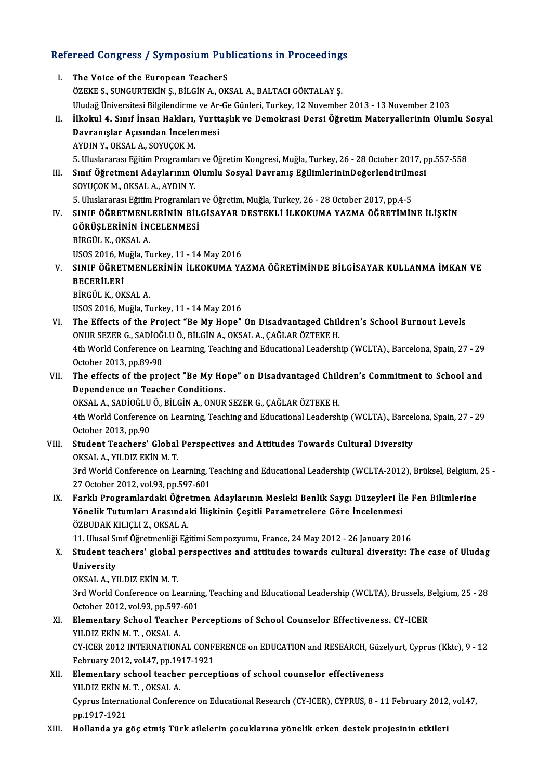# Refereed Congress / Symposium Publications in Proceedings<br>Refereed Congress / Symposium Publications in Proceedings

| Refereed Congress / Symposium Publications in Proceedings |                                                                                                                          |
|-----------------------------------------------------------|--------------------------------------------------------------------------------------------------------------------------|
| I.                                                        | The Voice of the European TeacherS                                                                                       |
|                                                           | ÖZEKE S., SUNGURTEKİN Ş., BİLGİN A., OKSAL A., BALTACI GÖKTALAY Ş.                                                       |
|                                                           | Uludağ Üniversitesi Bilgilendirme ve Ar-Ge Günleri, Turkey, 12 November 2013 - 13 November 2103                          |
| П.                                                        | İlkokul 4. Sınıf İnsan Hakları, Yurttaşlık ve Demokrasi Dersi Öğretim Materyallerinin Olumlu Sosyal                      |
|                                                           | Davranışlar Açısından İncelenmesi                                                                                        |
|                                                           | AYDIN Y, OKSAL A, SOYUÇOK M.                                                                                             |
|                                                           | 5. Uluslararası Eğitim Programları ve Öğretim Kongresi, Muğla, Turkey, 26 - 28 October 2017, pp.557-558                  |
| III.                                                      | Sınıf Öğretmeni Adaylarının Olumlu Sosyal Davranış EğilimlerininDeğerlendirilmesi                                        |
|                                                           | SOYUÇOK M., OKSAL A., AYDIN Y.                                                                                           |
|                                                           | 5. Uluslararası Eğitim Programları ve Öğretim, Muğla, Turkey, 26 - 28 October 2017, pp.4-5                               |
| IV.                                                       | SINIF ÖĞRETMENLERİNİN BİLGİSAYAR DESTEKLİ İLKOKUMA YAZMA ÖĞRETİMİNE İLİŞKİN                                              |
|                                                           | GÖRÜŞLERİNİN İNCELENMESİ                                                                                                 |
|                                                           | BİRGÜL K., OKSAL A.                                                                                                      |
|                                                           | USOS 2016, Muğla, Turkey, 11 - 14 May 2016                                                                               |
| V.                                                        | SINIF ÖĞRETMENLERİNİN İLKOKUMA YAZMA ÖĞRETİMİNDE BİLGİSAYAR KULLANMA İMKAN VE                                            |
|                                                           | <b>BECERILERI</b>                                                                                                        |
|                                                           | BİRGÜL K., OKSAL A.                                                                                                      |
|                                                           | USOS 2016, Muğla, Turkey, 11 - 14 May 2016                                                                               |
| VI.                                                       | The Effects of the Project "Be My Hope" On Disadvantaged Children's School Burnout Levels                                |
|                                                           | ONUR SEZER G., SADİOĞLU Ö., BİLGİN A., OKSAL A., ÇAĞLAR ÖZTEKE H.                                                        |
|                                                           | 4th World Conference on Learning, Teaching and Educational Leadership (WCLTA)., Barcelona, Spain, 27 - 29                |
|                                                           | October 2013, pp 89-90                                                                                                   |
| VII.                                                      | The effects of the project "Be My Hope" on Disadvantaged Children's Commitment to School and                             |
|                                                           | Dependence on Teacher Conditions.                                                                                        |
|                                                           | OKSAL A., SADİOĞLU Ö., BİLGİN A., ONUR SEZER G., ÇAĞLAR ÖZTEKE H.                                                        |
|                                                           | 4th World Conference on Learning, Teaching and Educational Leadership (WCLTA)., Barcelona, Spain, 27 - 29                |
|                                                           | October 2013, pp 90                                                                                                      |
| VIII.                                                     | Student Teachers' Global Perspectives and Attitudes Towards Cultural Diversity                                           |
|                                                           | OKSAL A , YILDIZ EKİN M. T.                                                                                              |
|                                                           | 3rd World Conference on Learning, Teaching and Educational Leadership (WCLTA-2012), Brüksel, Belgium, 25 -               |
|                                                           | 27 October 2012, vol 93, pp 597-601                                                                                      |
| IX.                                                       | Farklı Programlardaki Öğretmen Adaylarının Mesleki Benlik Saygı Düzeyleri İle Fen Bilimlerine                            |
|                                                           | Yönelik Tutumları Arasındaki İlişkinin Çeşitli Parametrelere Göre İncelenmesi                                            |
|                                                           | ÖZBUDAK KILIÇLI Z., OKSAL A.                                                                                             |
|                                                           | 11. Ulusal Sınıf Öğretmenliği Eğitimi Sempozyumu, France, 24 May 2012 - 26 January 2016                                  |
| Χ.                                                        | Student teachers' global perspectives and attitudes towards cultural diversity: The case of Uludag                       |
|                                                           | University                                                                                                               |
|                                                           | OKSAL A., YILDIZ EKİN M.T.                                                                                               |
|                                                           | 3rd World Conference on Learning, Teaching and Educational Leadership (WCLTA), Brussels, Belgium, 25 - 28                |
|                                                           | October 2012, vol.93, pp.597-601                                                                                         |
| XI.                                                       | Elementary School Teacher Perceptions of School Counselor Effectiveness. CY-ICER                                         |
|                                                           | YILDIZ EKİN M.T., OKSAL A.                                                                                               |
|                                                           | CY-ICER 2012 INTERNATIONAL CONFERENCE on EDUCATION and RESEARCH, Güzelyurt, Cyprus (Kktc), 9 - 12                        |
|                                                           | February 2012, vol.47, pp.1917-1921                                                                                      |
| XII.                                                      | Elementary school teacher perceptions of school counselor effectiveness                                                  |
|                                                           | YILDIZ EKİN M. T., OKSAL A.                                                                                              |
|                                                           | Cyprus International Conference on Educational Research (CY-ICER), CYPRUS, 8 - 11 February 2012, vol.47,<br>pp 1917-1921 |
| XIII.                                                     | Hollanda ya göç etmiş Türk ailelerin çocuklarına yönelik erken destek projesinin etkileri                                |
|                                                           |                                                                                                                          |